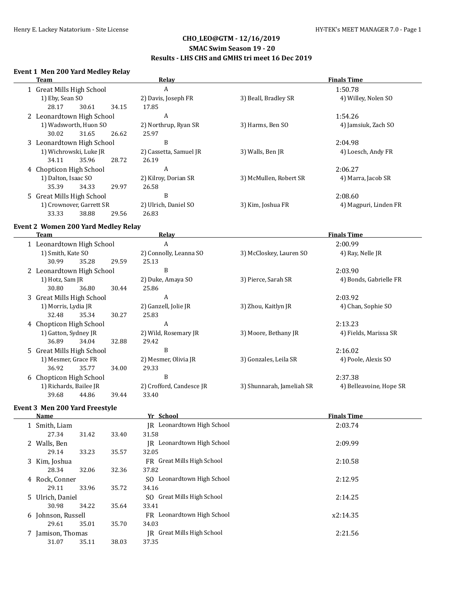### **SMAC Swim Season 19 - 20**

### **Results - LHS CHS and GMHS tri meet 16 Dec 2019**

### **Event 1 Men 200 Yard Medley Relay**

| Team                      | Relay                  | <b>Finals Time</b><br>1:50.78 |                       |  |
|---------------------------|------------------------|-------------------------------|-----------------------|--|
| 1 Great Mills High School | A                      |                               |                       |  |
| 1) Eby, Sean SO           | 2) Davis, Joseph FR    | 3) Beall, Bradley SR          | 4) Willey, Nolen SO   |  |
| 28.17<br>30.61<br>34.15   | 17.85                  |                               |                       |  |
| 2 Leonardtown High School | A                      |                               | 1:54.26               |  |
| 1) Wadsworth, Huon SO     | 2) Northrup, Ryan SR   | 3) Harms, Ben SO              | 4) Jamsiuk, Zach SO   |  |
| 30.02<br>31.65<br>26.62   | 25.97                  |                               |                       |  |
| 3 Leonardtown High School | B                      |                               | 2:04.98               |  |
| 1) Wichrowski, Luke JR    | 2) Cassetta, Samuel JR | 3) Walls, Ben JR              | 4) Loesch, Andy FR    |  |
| 28.72<br>34.11<br>35.96   | 26.19                  |                               |                       |  |
| 4 Chopticon High School   | A                      |                               | 2:06.27               |  |
| 1) Dalton, Isaac SO       | 2) Kilroy, Dorian SR   | 3) McMullen, Robert SR        | 4) Marra, Jacob SR    |  |
| 29.97<br>35.39<br>34.33   | 26.58                  |                               |                       |  |
| 5 Great Mills High School | B                      |                               | 2:08.60               |  |
| 1) Crownover, Garrett SR  | 2) Ulrich, Daniel SO   | 3) Kim, Joshua FR             | 4) Magpuri, Linden FR |  |
| 33.33<br>38.88<br>29.56   | 26.83                  |                               |                       |  |

### **Event 2 Women 200 Yard Medley Relay**

| Team                      |                           |       |       | Relay                    | <b>Finals Time</b>        |                         |  |
|---------------------------|---------------------------|-------|-------|--------------------------|---------------------------|-------------------------|--|
| 1 Leonardtown High School |                           |       | A     |                          | 2:00.99                   |                         |  |
|                           | 1) Smith, Kate SO         |       |       | 2) Connolly, Leanna SO   | 3) McCloskey, Lauren SO   | 4) Ray, Nelle JR        |  |
|                           | 30.99                     | 35.28 | 29.59 | 25.13                    |                           |                         |  |
|                           | 2 Leonardtown High School |       |       | B                        |                           | 2:03.90                 |  |
|                           | 1) Hotz, Sam JR           |       |       | 2) Duke, Amaya SO        | 3) Pierce, Sarah SR       | 4) Bonds, Gabrielle FR  |  |
|                           | 30.80                     | 36.80 | 30.44 | 25.86                    |                           |                         |  |
|                           | 3 Great Mills High School |       |       | A                        |                           | 2:03.92                 |  |
|                           | 1) Morris, Lydia JR       |       |       | 2) Ganzell, Jolie JR     | 3) Zhou, Kaitlyn JR       | 4) Chan, Sophie SO      |  |
|                           | 32.48                     | 35.34 | 30.27 | 25.83                    |                           |                         |  |
|                           | 4 Chopticon High School   |       |       | A                        |                           | 2:13.23                 |  |
|                           | 1) Gatton, Sydney JR      |       |       | 2) Wild, Rosemary JR     | 3) Moore, Bethany JR      | 4) Fields, Marissa SR   |  |
|                           | 36.89                     | 34.04 | 32.88 | 29.42                    |                           |                         |  |
|                           | 5 Great Mills High School |       |       | B                        |                           | 2:16.02                 |  |
|                           | 1) Mesmer, Grace FR       |       |       | 2) Mesmer, Olivia JR     | 3) Gonzales, Leila SR     | 4) Poole, Alexis SO     |  |
|                           | 36.92                     | 35.77 | 34.00 | 29.33                    |                           |                         |  |
|                           | 6 Chopticon High School   |       |       | B                        |                           | 2:37.38                 |  |
|                           | 1) Richards, Bailee JR    |       |       | 2) Crofford, Candesce JR | 3) Shunnarah, Jameliah SR | 4) Belleavoine, Hope SR |  |
|                           | 39.68                     | 44.86 | 39.44 | 33.40                    |                           |                         |  |
|                           |                           |       |       |                          |                           |                         |  |

# **Event 3 Men 200 Yard Freestyle**

| Name |                    |       |       | Yr School                     | <b>Finals Time</b> |  |  |
|------|--------------------|-------|-------|-------------------------------|--------------------|--|--|
|      | 1 Smith, Liam      |       |       | IR Leonardtown High School    | 2:03.74            |  |  |
|      | 27.34              | 31.42 | 33.40 | 31.58                         |                    |  |  |
|      | 2 Walls, Ben       |       |       | IR Leonardtown High School    | 2:09.99            |  |  |
|      | 29.14              | 33.23 | 35.57 | 32.05                         |                    |  |  |
|      | 3 Kim, Joshua      |       |       | FR Great Mills High School    | 2:10.58            |  |  |
|      | 28.34              | 32.06 | 32.36 | 37.82                         |                    |  |  |
|      | 4 Rock, Conner     |       |       | SO Leonardtown High School    | 2:12.95            |  |  |
|      | 29.11              | 33.96 | 35.72 | 34.16                         |                    |  |  |
|      | 5 Ulrich, Daniel   |       |       | SO Great Mills High School    | 2:14.25            |  |  |
|      | 30.98              | 34.22 | 35.64 | 33.41                         |                    |  |  |
|      | 6 Johnson, Russell |       |       | FR Leonardtown High School    | x2:14.35           |  |  |
|      | 29.61              | 35.01 | 35.70 | 34.03                         |                    |  |  |
|      | 7 Jamison, Thomas  |       |       | Great Mills High School<br>IR | 2:21.56            |  |  |
|      | 31.07              | 35.11 | 38.03 | 37.35                         |                    |  |  |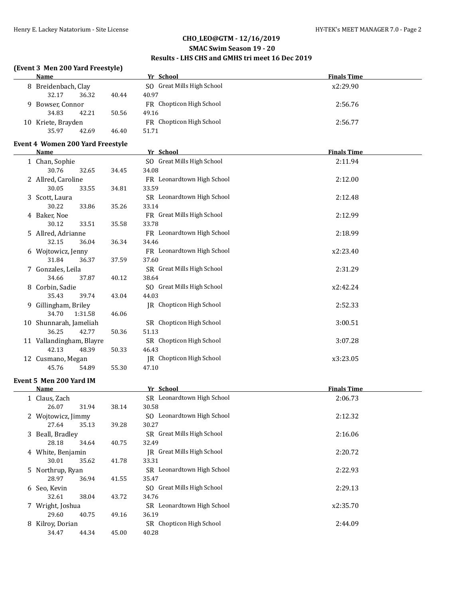### **CHO\_LEO@GTM - 12/16/2019 SMAC Swim Season 19 - 20**

# **Results - LHS CHS and GMHS tri meet 16 Dec 2019**

### **(Event 3 Men 200 Yard Freestyle)**

| Name                 |       |                     | Yr School                  | <b>Finals Time</b> |
|----------------------|-------|---------------------|----------------------------|--------------------|
|                      |       |                     | SO Great Mills High School | x2:29.90           |
| 32.17                | 36.32 | 40.44               | 40.97                      |                    |
| Bowser, Connor<br>Q. |       |                     | FR Chopticon High School   | 2:56.76            |
| 34.83                | 42.21 | 50.56               | 49.16                      |                    |
| 10 Kriete, Brayden   |       |                     | FR Chopticon High School   | 2:56.77            |
| 35.97                | 42.69 | 46.40               | 51.71                      |                    |
|                      |       | 8 Breidenbach, Clay |                            |                    |

#### **Event 4 Women 200 Yard Freestyle**

| Name |                          | Yr School |       |                            | <b>Finals Time</b> |  |  |
|------|--------------------------|-----------|-------|----------------------------|--------------------|--|--|
|      | 1 Chan, Sophie           |           |       | SO Great Mills High School | 2:11.94            |  |  |
|      | 30.76                    | 32.65     | 34.45 | 34.08                      |                    |  |  |
|      | 2 Allred, Caroline       |           |       | FR Leonardtown High School | 2:12.00            |  |  |
|      | 30.05                    | 33.55     | 34.81 | 33.59                      |                    |  |  |
|      | 3 Scott, Laura           |           |       | SR Leonardtown High School | 2:12.48            |  |  |
|      | 30.22                    | 33.86     | 35.26 | 33.14                      |                    |  |  |
|      | 4 Baker, Noe             |           |       | FR Great Mills High School | 2:12.99            |  |  |
|      | 30.12                    | 33.51     | 35.58 | 33.78                      |                    |  |  |
|      | 5 Allred, Adrianne       |           |       | FR Leonardtown High School | 2:18.99            |  |  |
|      | 32.15                    | 36.04     | 36.34 | 34.46                      |                    |  |  |
|      | 6 Wojtowicz, Jenny       |           |       | FR Leonardtown High School | x2:23.40           |  |  |
|      | 31.84                    | 36.37     | 37.59 | 37.60                      |                    |  |  |
|      | 7 Gonzales, Leila        |           |       | SR Great Mills High School | 2:31.29            |  |  |
|      | 34.66                    | 37.87     | 40.12 | 38.64                      |                    |  |  |
| 8    | Corbin, Sadie            |           |       | SO Great Mills High School | x2:42.24           |  |  |
|      | 35.43                    | 39.74     | 43.04 | 44.03                      |                    |  |  |
| 9    | Gillingham, Briley       |           |       | JR Chopticon High School   | 2:52.33            |  |  |
|      | 34.70                    | 1:31.58   | 46.06 |                            |                    |  |  |
| 10   | Shunnarah, Jameliah      |           |       | SR Chopticon High School   | 3:00.51            |  |  |
|      | 36.25                    | 42.77     | 50.36 | 51.13                      |                    |  |  |
|      | 11 Vallandingham, Blayre |           |       | SR Chopticon High School   | 3:07.28            |  |  |
|      | 42.13                    | 48.39     | 50.33 | 46.43                      |                    |  |  |
| 12   | Cusmano, Megan           |           |       | JR Chopticon High School   | x3:23.05           |  |  |
|      | 45.76                    | 54.89     | 55.30 | 47.10                      |                    |  |  |

#### **Event 5 Men 200 Yard IM**

 $\overline{a}$ 

|   | <u>Name </u>       |       |       | Yr School                  | <b>Finals Time</b> |  |  |
|---|--------------------|-------|-------|----------------------------|--------------------|--|--|
|   | 1 Claus, Zach      |       |       | SR Leonardtown High School | 2:06.73            |  |  |
|   | 26.07              | 31.94 | 38.14 | 30.58                      |                    |  |  |
|   | 2 Wojtowicz, Jimmy |       |       | SO Leonardtown High School | 2:12.32            |  |  |
|   | 27.64              | 35.13 | 39.28 | 30.27                      |                    |  |  |
| 3 | Beall, Bradley     |       |       | SR Great Mills High School | 2:16.06            |  |  |
|   | 28.18              | 34.64 | 40.75 | 32.49                      |                    |  |  |
|   | 4 White, Benjamin  |       |       | JR Great Mills High School | 2:20.72            |  |  |
|   | 30.01              | 35.62 | 41.78 | 33.31                      |                    |  |  |
|   | 5 Northrup, Ryan   |       |       | SR Leonardtown High School | 2:22.93            |  |  |
|   | 28.97              | 36.94 | 41.55 | 35.47                      |                    |  |  |
|   | 6 Seo, Kevin       |       |       | SO Great Mills High School | 2:29.13            |  |  |
|   | 32.61              | 38.04 | 43.72 | 34.76                      |                    |  |  |
|   | Wright, Joshua     |       |       | SR Leonardtown High School | x2:35.70           |  |  |
|   | 29.60              | 40.75 | 49.16 | 36.19                      |                    |  |  |
| 8 | Kilroy, Dorian     |       |       | SR Chopticon High School   | 2:44.09            |  |  |
|   | 34.47              | 44.34 | 45.00 | 40.28                      |                    |  |  |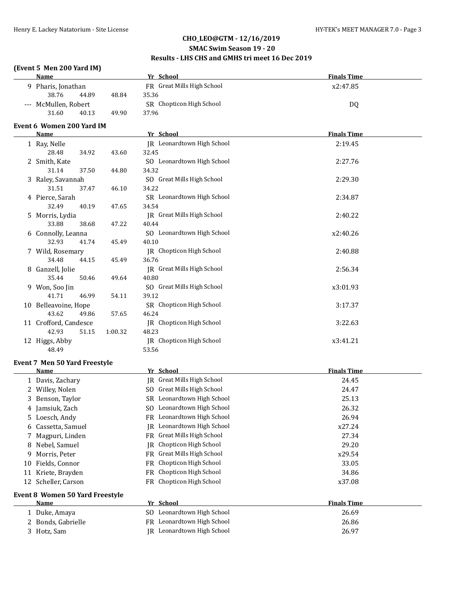### **SMAC Swim Season 19 - 20**

### **Results - LHS CHS and GMHS tri meet 16 Dec 2019**

### **(Event 5 Men 200 Yard IM)**

|    | <b>Name</b>                            |         | Yr School                                  | <b>Finals Time</b> |
|----|----------------------------------------|---------|--------------------------------------------|--------------------|
|    | 9 Pharis, Jonathan                     |         | FR Great Mills High School                 | x2:47.85           |
|    | 38.76<br>44.89                         | 48.84   | 35.36                                      |                    |
|    | --- McMullen, Robert                   |         | SR Chopticon High School                   | DQ                 |
|    | 31.60<br>40.13                         | 49.90   | 37.96                                      |                    |
|    | Event 6 Women 200 Yard IM              |         |                                            |                    |
|    | <u>Name</u>                            |         | Yr School                                  | <b>Finals Time</b> |
|    | 1 Ray, Nelle                           |         | JR Leonardtown High School                 | 2:19.45            |
|    | 28.48<br>34.92                         | 43.60   | 32.45                                      |                    |
|    | 2 Smith, Kate                          |         | SO Leonardtown High School                 | 2:27.76            |
|    | 31.14<br>37.50                         | 44.80   | 34.32                                      |                    |
|    | 3 Raley, Savannah                      |         | SO Great Mills High School                 | 2:29.30            |
|    | 31.51<br>37.47                         | 46.10   | 34.22                                      |                    |
|    | 4 Pierce, Sarah                        |         | SR Leonardtown High School                 | 2:34.87            |
|    | 32.49<br>40.19                         | 47.65   | 34.54                                      |                    |
|    | 5 Morris, Lydia                        |         | JR Great Mills High School                 | 2:40.22            |
|    | 33.88<br>38.68                         | 47.22   | 40.44                                      |                    |
|    | 6 Connolly, Leanna                     |         | SO Leonardtown High School                 | x2:40.26           |
|    | 32.93<br>41.74                         | 45.49   | 40.10                                      |                    |
|    | 7 Wild, Rosemary                       |         | IR Chopticon High School                   | 2:40.88            |
|    | 34.48<br>44.15                         | 45.49   | 36.76                                      |                    |
|    | 8 Ganzell, Jolie<br>35.44<br>50.46     | 49.64   | <b>IR</b> Great Mills High School<br>40.80 | 2:56.34            |
|    | 9 Won, Soo Jin                         |         | SO Great Mills High School                 | x3:01.93           |
|    | 41.71<br>46.99                         | 54.11   | 39.12                                      |                    |
|    | 10 Belleavoine, Hope                   |         | SR Chopticon High School                   | 3:17.37            |
|    | 43.62<br>49.86                         | 57.65   | 46.24                                      |                    |
|    | 11 Crofford, Candesce                  |         | JR Chopticon High School                   | 3:22.63            |
|    | 42.93<br>51.15                         | 1:00.32 | 48.23                                      |                    |
|    | 12 Higgs, Abby                         |         | <b>IR</b> Chopticon High School            | x3:41.21           |
|    | 48.49                                  |         | 53.56                                      |                    |
|    | Event 7 Men 50 Yard Freestyle          |         |                                            |                    |
|    | Name                                   |         | Yr School                                  | <b>Finals Time</b> |
|    | 1 Davis, Zachary                       |         | <b>IR</b> Great Mills High School          | 24.45              |
|    | 2 Willey, Nolen                        |         | SO Great Mills High School                 | 24.47              |
|    | 3 Benson, Taylor                       |         | SR Leonardtown High School                 | 25.13              |
|    | 4 Jamsiuk, Zach                        |         | SO Leonardtown High School                 | 26.32              |
|    | Loesch, Andy                           |         | FR Leonardtown High School                 | 26.94              |
| 6  | Cassetta, Samuel                       |         | Leonardtown High School<br>IR              | x27.24             |
|    | Magpuri, Linden                        |         | FR Great Mills High School                 | 27.34              |
| 8  | Nebel, Samuel                          |         | Chopticon High School<br>IR                | 29.20              |
| 9  | Morris, Peter                          |         | FR Great Mills High School                 | x29.54             |
| 10 | Fields, Connor                         |         | Chopticon High School<br>FR                | 33.05              |
|    | 11 Kriete, Brayden                     |         | Chopticon High School<br>FR                | 34.86              |
| 12 | Scheller, Carson                       |         | Chopticon High School<br>FR                | x37.08             |
|    | <b>Event 8 Women 50 Yard Freestyle</b> |         |                                            |                    |
|    | Name                                   |         | Yr School                                  | <b>Finals Time</b> |
|    | 1 Duke, Amaya                          |         | SO Leonardtown High School                 | 26.69              |
|    | 2 Bonds, Gabrielle                     |         | FR Leonardtown High School                 | 26.86              |
|    | 3 Hotz, Sam                            |         | JR Leonardtown High School                 | 26.97              |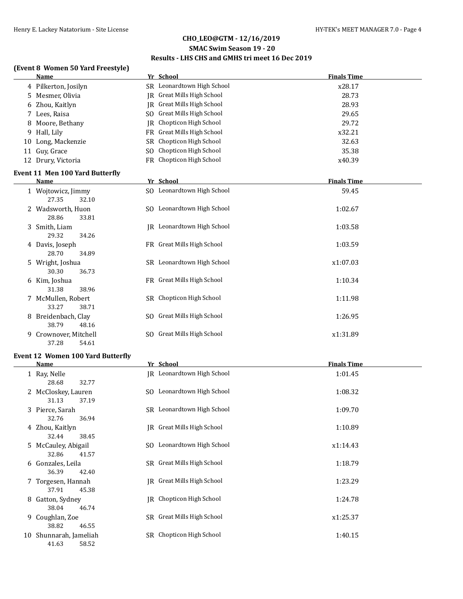# **SMAC Swim Season 19 - 20**

# **Results - LHS CHS and GMHS tri meet 16 Dec 2019**

# **(Event 8 Women 50 Yard Freestyle)**

|    | <b>Name</b>                            |           | Yr School                      | <b>Finals Time</b> |
|----|----------------------------------------|-----------|--------------------------------|--------------------|
|    | 4 Pilkerton, Josilyn                   |           | SR Leonardtown High School     | x28.17             |
|    | 5 Mesmer, Olivia                       |           | IR Great Mills High School     | 28.73              |
| 6  | Zhou, Kaitlyn                          | IR        | <b>Great Mills High School</b> | 28.93              |
|    | 7 Lees, Raisa                          |           | SO Great Mills High School     | 29.65              |
| 8  | Moore, Bethany                         | <b>IR</b> | Chopticon High School          | 29.72              |
| 9  | Hall, Lily                             | <b>FR</b> | <b>Great Mills High School</b> | x32.21             |
| 10 | Long, Mackenzie                        | SR.       | Chopticon High School          | 32.63              |
| 11 | Guy, Grace                             | SO.       | Chopticon High School          | 35.38              |
|    | 12 Drury, Victoria                     |           | FR Chopticon High School       | x40.39             |
|    | <b>Event 11 Men 100 Yard Butterfly</b> |           |                                |                    |
|    | Name                                   |           | Yr School                      | <b>Finals Time</b> |
|    | 1 Wojtowicz, Jimmy                     |           | SO Leonardtown High School     | 59.45              |
|    | 27.35<br>32.10                         |           |                                |                    |
|    | 2 Wadsworth, Huon                      |           | SO Leonardtown High School     | 1:02.67            |
|    | 28.86<br>33.81                         |           |                                |                    |
|    | 3 Smith, Liam                          |           | JR Leonardtown High School     | 1:03.58            |
|    | 29.32<br>34.26                         |           |                                |                    |
|    | 4 Davis, Joseph                        |           | FR Great Mills High School     | 1:03.59            |
|    | 28.70<br>34.89                         |           |                                |                    |
|    | 5 Wright, Joshua                       |           | SR Leonardtown High School     | x1:07.03           |
|    | 30.30<br>36.73                         |           |                                |                    |
|    | 6 Kim, Joshua                          |           | FR Great Mills High School     | 1:10.34            |
|    | 31.38<br>38.96                         |           |                                |                    |
|    | 7 McMullen, Robert                     |           | SR Chopticon High School       | 1:11.98            |
|    | 33.27<br>38.71                         |           |                                |                    |
|    | 8 Breidenbach, Clay                    |           | SO Great Mills High School     | 1:26.95            |
|    | 38.79<br>48.16                         |           |                                |                    |
| 9  | Crownover, Mitchell                    | SO.       | Great Mills High School        | x1:31.89           |
|    | 37.28<br>54.61                         |           |                                |                    |

#### **Event 12 Women 100 Yard Butterfly**

|    | <b>Name</b>                              | Yr School                  | <b>Finals Time</b> |
|----|------------------------------------------|----------------------------|--------------------|
|    | 1 Ray, Nelle<br>28.68<br>32.77           | JR Leonardtown High School | 1:01.45            |
|    | 2 McCloskey, Lauren<br>31.13<br>37.19    | SO Leonardtown High School | 1:08.32            |
|    | 3 Pierce, Sarah<br>32.76<br>36.94        | SR Leonardtown High School | 1:09.70            |
|    | 4 Zhou, Kaitlyn<br>32.44<br>38.45        | IR Great Mills High School | 1:10.89            |
|    | 5 McCauley, Abigail<br>32.86<br>41.57    | SO Leonardtown High School | x1:14.43           |
|    | 6 Gonzales, Leila<br>36.39<br>42.40      | SR Great Mills High School | 1:18.79            |
|    | 7 Torgesen, Hannah<br>37.91<br>45.38     | JR Great Mills High School | 1:23.29            |
| 8  | Gatton, Sydney<br>38.04<br>46.74         | IR Chopticon High School   | 1:24.78            |
| 9. | Coughlan, Zoe<br>38.82<br>46.55          | SR Great Mills High School | x1:25.37           |
|    | 10 Shunnarah, Jameliah<br>41.63<br>58.52 | SR Chopticon High School   | 1:40.15            |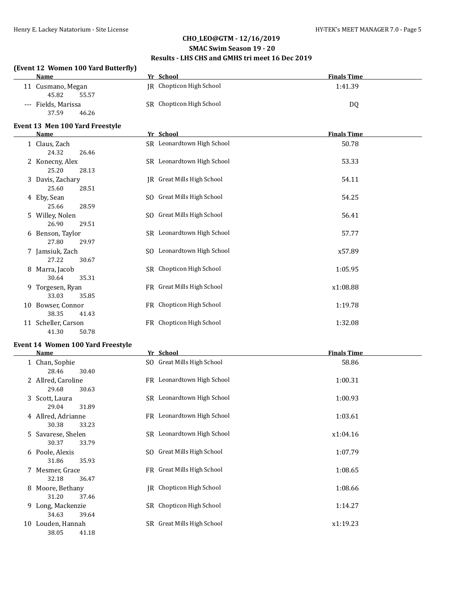#### **SMAC Swim Season 19 - 20 Results - LHS CHS and GMHS tri meet 16 Dec 2019**

#### **(Event 12 Women 100 Yard Butterfly)**

|   | Name                                  | Yr School                  | <b>Finals Time</b> |
|---|---------------------------------------|----------------------------|--------------------|
|   | 11 Cusmano, Megan<br>45.82<br>55.57   | JR Chopticon High School   | 1:41.39            |
|   | --- Fields, Marissa<br>37.59<br>46.26 | SR Chopticon High School   | DQ                 |
|   | Event 13 Men 100 Yard Freestyle       |                            |                    |
|   | Name                                  | Yr School                  | <b>Finals Time</b> |
|   | 1 Claus, Zach<br>24.32<br>26.46       | SR Leonardtown High School | 50.78              |
|   | 2 Konecny, Alex<br>25.20<br>28.13     | SR Leonardtown High School | 53.33              |
|   | 3 Davis, Zachary<br>25.60<br>28.51    | IR Great Mills High School | 54.11              |
|   | 4 Eby, Sean<br>25.66<br>28.59         | SO Great Mills High School | 54.25              |
|   | 5 Willey, Nolen<br>26.90<br>29.51     | SO Great Mills High School | 56.41              |
|   | 6 Benson, Taylor<br>27.80<br>29.97    | SR Leonardtown High School | 57.77              |
|   | 7 Jamsiuk, Zach<br>27.22<br>30.67     | SO Leonardtown High School | x57.89             |
|   | 8 Marra, Jacob<br>30.64<br>35.31      | SR Chopticon High School   | 1:05.95            |
| 9 | Torgesen, Ryan<br>33.03<br>35.85      | FR Great Mills High School | x1:08.88           |
|   | 10 Bowser, Connor<br>38.35<br>41.43   | FR Chopticon High School   | 1:19.78            |
|   | 11 Scheller, Carson<br>41.30<br>50.78 | FR Chopticon High School   | 1:32.08            |

#### **Event 14 Women 100 Yard Freestyle**

|    | Name               | Yr School                      | <b>Finals Time</b> |
|----|--------------------|--------------------------------|--------------------|
|    | 1 Chan, Sophie     | SO Great Mills High School     | 58.86              |
|    | 28.46<br>30.40     |                                |                    |
|    | 2 Allred, Caroline | FR Leonardtown High School     | 1:00.31            |
|    | 29.68<br>30.63     |                                |                    |
|    | 3 Scott, Laura     | SR Leonardtown High School     | 1:00.93            |
|    | 29.04<br>31.89     |                                |                    |
|    | 4 Allred, Adrianne | FR Leonardtown High School     | 1:03.61            |
|    | 30.38<br>33.23     |                                |                    |
|    | 5 Savarese, Shelen | SR Leonardtown High School     | x1:04.16           |
|    | 30.37<br>33.79     |                                |                    |
|    | 6 Poole, Alexis    | Great Mills High School<br>SO. | 1:07.79            |
|    | 31.86<br>35.93     |                                |                    |
|    | 7 Mesmer, Grace    | FR Great Mills High School     | 1:08.65            |
|    | 32.18<br>36.47     |                                |                    |
| 8  | Moore, Bethany     | IR Chopticon High School       | 1:08.66            |
|    | 31.20<br>37.46     |                                |                    |
|    | 9 Long, Mackenzie  | SR Chopticon High School       | 1:14.27            |
|    | 34.63<br>39.64     |                                |                    |
| 10 | Louden, Hannah     | SR Great Mills High School     | x1:19.23           |
|    | 38.05<br>41.18     |                                |                    |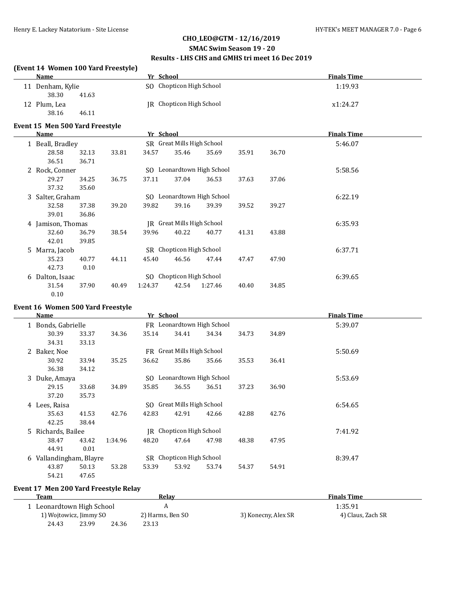#### **SMAC Swim Season 19 - 20 Results - LHS CHS and GMHS tri meet 16 Dec 2019**

#### **(Event 14 Women 100 Yard Freestyle)**

|    | Name                            |       |       | Yr School |                            |                            |       |       | <b>Finals Time</b> |
|----|---------------------------------|-------|-------|-----------|----------------------------|----------------------------|-------|-------|--------------------|
|    | 11 Denham, Kylie<br>38.30       | 41.63 |       |           | SO Chopticon High School   |                            |       |       | 1:19.93            |
|    | 12 Plum, Lea<br>38.16           | 46.11 |       |           | JR Chopticon High School   |                            |       |       | x1:24.27           |
|    |                                 |       |       |           |                            |                            |       |       |                    |
|    | Event 15 Men 500 Yard Freestyle |       |       |           |                            |                            |       |       |                    |
|    | Name                            |       |       | Yr School |                            |                            |       |       | <b>Finals Time</b> |
|    | 1 Beall, Bradley                |       |       |           | SR Great Mills High School |                            |       |       | 5:46.07            |
|    | 28.58                           | 32.13 | 33.81 | 34.57     | 35.46                      | 35.69                      | 35.91 | 36.70 |                    |
|    | 36.51                           | 36.71 |       |           |                            |                            |       |       |                    |
|    | 2 Rock, Conner                  |       |       |           |                            | SO Leonardtown High School |       |       | 5:58.56            |
|    | 29.27                           | 34.25 | 36.75 | 37.11     | 37.04                      | 36.53                      | 37.63 | 37.06 |                    |
|    | 37.32                           | 35.60 |       |           |                            |                            |       |       |                    |
|    | 3 Salter, Graham                |       |       |           |                            | SO Leonardtown High School |       |       | 6:22.19            |
|    | 32.58                           | 37.38 | 39.20 | 39.82     | 39.16                      | 39.39                      | 39.52 | 39.27 |                    |
|    | 39.01                           | 36.86 |       |           |                            |                            |       |       |                    |
|    | 4 Jamison, Thomas               |       |       |           | JR Great Mills High School |                            |       |       | 6:35.93            |
|    | 32.60                           | 36.79 | 38.54 | 39.96     | 40.22                      | 40.77                      | 41.31 | 43.88 |                    |
|    | 42.01                           | 39.85 |       |           |                            |                            |       |       |                    |
| 5. | Marra, Jacob                    |       |       |           | SR Chopticon High School   |                            |       |       | 6:37.71            |
|    | 35.23                           | 40.77 | 44.11 | 45.40     | 46.56                      | 47.44                      | 47.47 | 47.90 |                    |
|    | 42.73                           | 0.10  |       |           |                            |                            |       |       |                    |
|    |                                 |       |       |           | SO Chopticon High School   |                            |       |       | 6:39.65            |
|    | 6 Dalton, Isaac                 |       |       |           |                            |                            |       |       |                    |
|    | 31.54                           | 37.90 | 40.49 | 1:24.37   | 42.54                      | 1:27.46                    | 40.40 | 34.85 |                    |
|    | 0.10                            |       |       |           |                            |                            |       |       |                    |

#### **Event 16 Women 500 Yard Freestyle**

|   | <b>Name</b>           |       |         | Yr School |                            |                            |       |       | <b>Finals Time</b> |  |
|---|-----------------------|-------|---------|-----------|----------------------------|----------------------------|-------|-------|--------------------|--|
|   | 1 Bonds, Gabrielle    |       |         |           |                            | FR Leonardtown High School |       |       | 5:39.07            |  |
|   | 30.39                 | 33.37 | 34.36   | 35.14     | 34.41                      | 34.34                      | 34.73 | 34.89 |                    |  |
|   | 34.31                 | 33.13 |         |           |                            |                            |       |       |                    |  |
|   | 2 Baker, Noe          |       |         |           | FR Great Mills High School |                            |       |       | 5:50.69            |  |
|   | 30.92                 | 33.94 | 35.25   | 36.62     | 35.86                      | 35.66                      | 35.53 | 36.41 |                    |  |
|   | 36.38                 | 34.12 |         |           |                            |                            |       |       |                    |  |
|   | 3 Duke, Amaya         |       |         |           |                            | SO Leonardtown High School |       |       | 5:53.69            |  |
|   | 29.15                 | 33.68 | 34.89   | 35.85     | 36.55                      | 36.51                      | 37.23 | 36.90 |                    |  |
|   | 37.20                 | 35.73 |         |           |                            |                            |       |       |                    |  |
|   | 4 Lees, Raisa         |       |         |           | SO Great Mills High School |                            |       |       | 6:54.65            |  |
|   | 35.63                 | 41.53 | 42.76   | 42.83     | 42.91                      | 42.66                      | 42.88 | 42.76 |                    |  |
|   | 42.25                 | 38.44 |         |           |                            |                            |       |       |                    |  |
|   | 5 Richards, Bailee    |       |         |           | IR Chopticon High School   |                            |       |       | 7:41.92            |  |
|   | 38.47                 | 43.42 | 1:34.96 | 48.20     | 47.64                      | 47.98                      | 48.38 | 47.95 |                    |  |
|   | 44.91                 | 0.01  |         |           |                            |                            |       |       |                    |  |
| 6 | Vallandingham, Blayre |       |         |           | SR Chopticon High School   |                            |       |       | 8:39.47            |  |
|   | 43.87                 | 50.13 | 53.28   | 53.39     | 53.92                      | 53.74                      | 54.37 | 54.91 |                    |  |
|   | 54.21                 | 47.65 |         |           |                            |                            |       |       |                    |  |

### **Event 17 Men 200 Yard Freestyle Relay**

| Team                    |       |       | Relav            | <b>Finals Time</b>  |                   |  |
|-------------------------|-------|-------|------------------|---------------------|-------------------|--|
| Leonardtown High School |       |       |                  |                     | 1:35.91           |  |
| 1) Wojtowicz, Jimmy SO  |       |       | 2) Harms, Ben SO | 3) Konecny, Alex SR | 4) Claus, Zach SR |  |
| 24.43                   | 23.99 | 24.36 | 23.13            |                     |                   |  |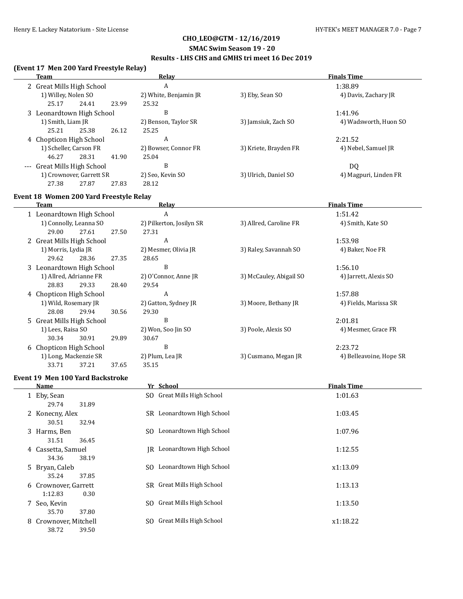#### **SMAC Swim Season 19 - 20 Results - LHS CHS and GMHS tri meet 16 Dec 2019**

#### **(Event 17 Men 200 Yard Freestyle Relay)**

| Team                        | <b>Relay</b>          | <b>Finals Time</b>    |                       |  |
|-----------------------------|-----------------------|-----------------------|-----------------------|--|
| 2 Great Mills High School   | A                     |                       | 1:38.89               |  |
| 1) Willey, Nolen SO         | 2) White, Benjamin JR | 3) Eby, Sean SO       | 4) Davis, Zachary JR  |  |
| 23.99<br>25.17<br>24.41     | 25.32                 |                       |                       |  |
| 3 Leonardtown High School   | B                     |                       | 1:41.96               |  |
| 1) Smith, Liam JR           | 2) Benson, Taylor SR  | 3) Jamsiuk, Zach SO   | 4) Wadsworth, Huon SO |  |
| 25.21<br>25.38<br>26.12     | 25.25                 |                       |                       |  |
| 4 Chopticon High School     | A                     |                       | 2:21.52               |  |
| 1) Scheller, Carson FR      | 2) Bowser, Connor FR  | 3) Kriete, Brayden FR | 4) Nebel, Samuel JR   |  |
| 41.90<br>46.27<br>28.31     | 25.04                 |                       |                       |  |
| --- Great Mills High School | B                     |                       | DO.                   |  |
| 1) Crownover, Garrett SR    | 2) Seo, Kevin SO      | 3) Ulrich, Daniel SO  | 4) Magpuri, Linden FR |  |
| 27.38<br>27.87<br>27.83     | 28.12                 |                       |                       |  |

### **Event 18 Women 200 Yard Freestyle Relay**

| Team                      |                           |       |       | Relay                    | <b>Finals Time</b>      |                         |  |  |
|---------------------------|---------------------------|-------|-------|--------------------------|-------------------------|-------------------------|--|--|
| 1 Leonardtown High School |                           |       |       | A                        |                         | 1:51.42                 |  |  |
|                           | 1) Connolly, Leanna SO    |       |       | 2) Pilkerton, Josilyn SR | 3) Allred, Caroline FR  | 4) Smith, Kate SO       |  |  |
|                           | 29.00                     | 27.61 | 27.50 | 27.31                    |                         |                         |  |  |
|                           | 2 Great Mills High School |       |       | A                        |                         | 1:53.98                 |  |  |
|                           | 1) Morris, Lydia JR       |       |       | 2) Mesmer, Olivia JR     | 3) Raley, Savannah SO   | 4) Baker, Noe FR        |  |  |
|                           | 29.62                     | 28.36 | 27.35 | 28.65                    |                         |                         |  |  |
|                           | 3 Leonardtown High School |       |       | B                        |                         | 1:56.10                 |  |  |
|                           | 1) Allred, Adrianne FR    |       |       | 2) O'Connor, Anne JR     | 3) McCauley, Abigail SO | 4) Jarrett, Alexis SO   |  |  |
|                           | 28.83                     | 29.33 | 28.40 | 29.54                    |                         |                         |  |  |
|                           | 4 Chopticon High School   |       |       | A                        |                         | 1:57.88                 |  |  |
|                           | 1) Wild, Rosemary JR      |       |       | 2) Gatton, Sydney JR     | 3) Moore, Bethany JR    | 4) Fields, Marissa SR   |  |  |
|                           | 28.08                     | 29.94 | 30.56 | 29.30                    |                         |                         |  |  |
|                           | 5 Great Mills High School |       |       | B                        |                         | 2:01.81                 |  |  |
|                           | 1) Lees, Raisa SO         |       |       | 2) Won, Soo Jin SO       | 3) Poole, Alexis SO     | 4) Mesmer, Grace FR     |  |  |
|                           | 30.34                     | 30.91 | 29.89 | 30.67                    |                         |                         |  |  |
|                           | 6 Chopticon High School   |       |       | B                        |                         | 2:23.72                 |  |  |
|                           | 1) Long, Mackenzie SR     |       |       | 2) Plum, Lea JR          | 3) Cusmano, Megan JR    | 4) Belleavoine, Hope SR |  |  |
|                           | 33.71                     | 37.21 | 37.65 | 35.15                    |                         |                         |  |  |

#### **Event 19 Men 100 Yard Backstroke**

| Name                                                      |     | Yr School                  | <b>Finals Time</b> |
|-----------------------------------------------------------|-----|----------------------------|--------------------|
| 1 Eby, Sean<br>31.89<br>29.74                             |     | SO Great Mills High School | 1:01.63            |
| 2 Konecny, Alex<br>32.94<br>30.51                         |     | SR Leonardtown High School | 1:03.45            |
| 3 Harms, Ben<br>31.51<br>36.45                            |     | SO Leonardtown High School | 1:07.96            |
| 4 Cassetta, Samuel<br>34.36<br>38.19                      | IR  | Leonardtown High School    | 1:12.55            |
| 5 Bryan, Caleb                                            | SO. | Leonardtown High School    | x1:13.09           |
| 35.24<br>37.85<br>6 Crownover, Garrett                    | SR. | Great Mills High School    | 1:13.13            |
| 1:12.83<br>0.30<br>7 Seo, Kevin                           | SO. | Great Mills High School    | 1:13.50            |
| 37.80<br>35.70<br>8 Crownover, Mitchell<br>38.72<br>39.50 | SO. | Great Mills High School    | x1:18.22           |
|                                                           |     |                            |                    |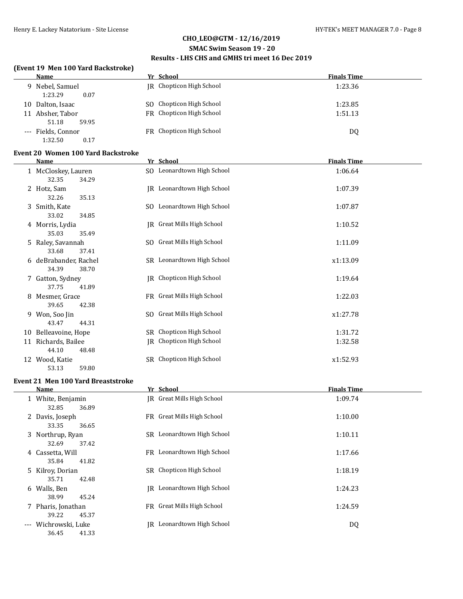#### **SMAC Swim Season 19 - 20**

### **Results - LHS CHS and GMHS tri meet 16 Dec 2019**

### **(Event 19 Men 100 Yard Backstroke)**

| Name                                                    | Yr School                       | <b>Finals Time</b> |
|---------------------------------------------------------|---------------------------------|--------------------|
| Nebel, Samuel<br>9.<br>1:23.29<br>0.07                  | <b>IR</b> Chopticon High School | 1:23.36            |
| Dalton, Isaac<br>10                                     | SO Chopticon High School        | 1:23.85            |
| Absher, Tabor<br>11                                     | FR Chopticon High School        | 1:51.13            |
| 59.95<br>51.18<br>--- Fields, Connor<br>1:32.50<br>0.17 | FR Chopticon High School        | DQ                 |

#### **Event 20 Women 100 Yard Backstroke**

|    | Name                                    | Yr School                    | <b>Finals Time</b> |
|----|-----------------------------------------|------------------------------|--------------------|
|    | 1 McCloskey, Lauren<br>32.35<br>34.29   | SO Leonardtown High School   | 1:06.64            |
|    | 2 Hotz, Sam<br>32.26<br>35.13           | JR Leonardtown High School   | 1:07.39            |
| 3  | Smith, Kate<br>33.02<br>34.85           | SO Leonardtown High School   | 1:07.87            |
|    | 4 Morris, Lydia<br>35.03<br>35.49       | JR Great Mills High School   | 1:10.52            |
|    | 5 Raley, Savannah<br>33.68<br>37.41     | SO Great Mills High School   | 1:11.09            |
|    | 6 deBrabander, Rachel<br>34.39<br>38.70 | SR Leonardtown High School   | x1:13.09           |
|    | 7 Gatton, Sydney<br>37.75<br>41.89      | IR Chopticon High School     | 1:19.64            |
| 8  | Mesmer, Grace<br>39.65<br>42.38         | FR Great Mills High School   | 1:22.03            |
| 9  | Won, Soo Jin<br>43.47<br>44.31          | SO Great Mills High School   | x1:27.78           |
|    | 10 Belleavoine, Hope                    | SR Chopticon High School     | 1:31.72            |
| 11 | Richards, Bailee<br>44.10<br>48.48      | Chopticon High School<br>IR  | 1:32.58            |
|    | 12 Wood, Katie<br>53.13<br>59.80        | Chopticon High School<br>SR. | x1:52.93           |

#### **Event 21 Men 100 Yard Breaststroke**

| Name                                        | Yr School                         | <b>Finals Time</b> |
|---------------------------------------------|-----------------------------------|--------------------|
| 1 White, Benjamin<br>32.85<br>36.89         | <b>IR</b> Great Mills High School | 1:09.74            |
| 2 Davis, Joseph<br>33.35<br>36.65           | FR Great Mills High School        | 1:10.00            |
| 3 Northrup, Ryan<br>32.69<br>37.42          | SR Leonardtown High School        | 1:10.11            |
| 4 Cassetta, Will<br>35.84<br>41.82          | FR Leonardtown High School        | 1:17.66            |
| 5 Kilroy, Dorian<br>35.71<br>42.48          | SR Chopticon High School          | 1:18.19            |
| 6 Walls, Ben<br>38.99<br>45.24              | Leonardtown High School<br>IR     | 1:24.23            |
| 7 Pharis, Jonathan<br>39.22<br>45.37        | FR Great Mills High School        | 1:24.59            |
| Wichrowski, Luke<br>$---$<br>36.45<br>41.33 | Leonardtown High School<br>IR     | DQ                 |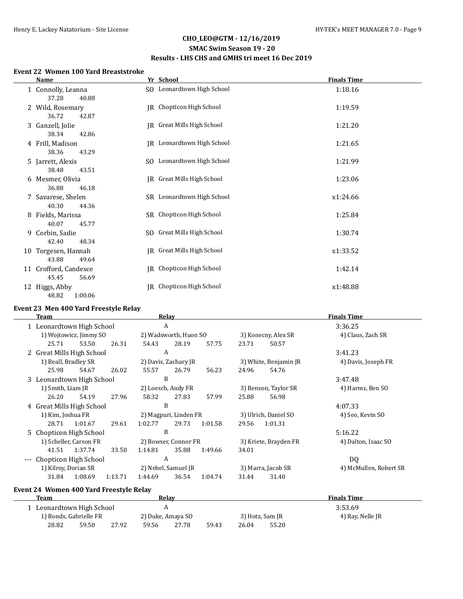#### **SMAC Swim Season 19 - 20 Results - LHS CHS and GMHS tri meet 16 Dec 2019**

#### **Event 22 Women 100 Yard Breaststroke**

| Name                                    | Yr School                         | <b>Finals Time</b> |
|-----------------------------------------|-----------------------------------|--------------------|
| 1 Connolly, Leanna<br>37.28<br>40.88    | SO Leonardtown High School        | 1:18.16            |
| 2 Wild, Rosemary<br>36.72<br>42.87      | JR Chopticon High School          | 1:19.59            |
| 3 Ganzell, Jolie<br>38.34<br>42.86      | JR Great Mills High School        | 1:21.20            |
| 4 Frill, Madison<br>38.36<br>43.29      | <b>IR</b> Leonardtown High School | 1:21.65            |
| 5 Jarrett, Alexis<br>38.48<br>43.51     | SO Leonardtown High School        | 1:21.99            |
| 6 Mesmer, Olivia<br>36.88<br>46.18      | JR Great Mills High School        | 1:23.06            |
| 7 Savarese, Shelen<br>40.30<br>44.36    | SR Leonardtown High School        | x1:24.66           |
| 8 Fields, Marissa<br>40.07<br>45.77     | SR Chopticon High School          | 1:25.84            |
| 9 Corbin, Sadie<br>42.40<br>48.34       | SO Great Mills High School        | 1:30.74            |
| 10 Torgesen, Hannah<br>43.88<br>49.64   | IR Great Mills High School        | x1:33.52           |
| 11 Crofford, Candesce<br>45.45<br>56.69 | JR Chopticon High School          | 1:42.14            |
| 12 Higgs, Abby<br>48.82<br>1:00.06      | Chopticon High School<br>IR       | x1:48.88           |

#### **Event 23 Men 400 Yard Freestyle Relay**

| Team                |                           |                           |         |         | Relay                 |         | <b>Finals Time</b> |                       |                        |
|---------------------|---------------------------|---------------------------|---------|---------|-----------------------|---------|--------------------|-----------------------|------------------------|
|                     |                           | 1 Leonardtown High School |         | A       |                       |         |                    |                       | 3:36.25                |
|                     |                           | 1) Wojtowicz, Jimmy SO    |         |         | 2) Wadsworth, Huon SO |         |                    | 3) Konecny, Alex SR   | 4) Claus, Zach SR      |
|                     | 25.71                     | 53.50                     | 26.31   | 54.43   | 28.19                 | 57.75   | 23.71              | 50.57                 |                        |
|                     | 2 Great Mills High School |                           |         | A       |                       |         |                    |                       | 3:41.23                |
|                     | 1) Beall, Bradley SR      |                           |         |         | 2) Davis, Zachary JR  |         |                    | 3) White, Benjamin JR | 4) Davis, Joseph FR    |
|                     | 25.98                     | 54.67                     | 26.02   | 55.57   | 26.79                 | 56.23   | 24.96              | 54.76                 |                        |
|                     | 3 Leonardtown High School |                           |         | B       |                       |         |                    |                       | 3:47.48                |
|                     | 1) Smith, Liam JR         |                           |         |         | 2) Loesch, Andy FR    |         |                    | 3) Benson, Taylor SR  | 4) Harms, Ben SO       |
|                     | 26.20                     | 54.19                     | 27.96   | 58.32   | 27.83                 | 57.99   | 25.88              | 56.98                 |                        |
|                     | 4 Great Mills High School |                           |         | B       |                       |         |                    |                       | 4:07.33                |
|                     | 1) Kim, Joshua FR         |                           |         |         | 2) Magpuri, Linden FR |         |                    | 3) Ulrich, Daniel SO  | 4) Seo, Kevin SO       |
|                     | 28.71                     | 1:01.67                   | 29.61   | 1:02.77 | 29.73                 | 1:01.58 | 29.56              | 1:01.31               |                        |
|                     | 5 Chopticon High School   |                           |         | B       |                       |         |                    |                       | 5:16.22                |
|                     |                           | 1) Scheller, Carson FR    |         |         | 2) Bowser, Connor FR  |         |                    | 3) Kriete, Brayden FR | 4) Dalton, Isaac SO    |
|                     |                           | 41.51 1:37.74             | 33.50   | 1:14.81 | 35.88                 | 1:49.66 | 34.01              |                       |                        |
| $\qquad \qquad - -$ | Chopticon High School     |                           |         | A       |                       |         |                    |                       | DQ                     |
|                     | 1) Kilroy, Dorian SR      |                           |         |         | 2) Nebel, Samuel JR   |         |                    | 3) Marra, Jacob SR    | 4) McMullen, Robert SR |
|                     | 31.84                     | 1:08.69                   | 1:13.71 | 1:44.69 | 36.54                 | 1:04.74 | 31.44              | 31.40                 |                        |
|                     |                           |                           |         |         |                       |         |                    |                       |                        |

# **Event 24 Women 400 Yard Freestyle Relay**

| Team                    |       |       |                   | Relav |       |                 |       | <b>Finals Time</b> |  |
|-------------------------|-------|-------|-------------------|-------|-------|-----------------|-------|--------------------|--|
| Leonardtown High School |       |       |                   |       |       | 3:53.69         |       |                    |  |
| 1) Bonds, Gabrielle FR  |       |       | 2) Duke, Amaya SO |       |       | 3) Hotz, Sam JR |       | 4) Ray, Nelle JR   |  |
| 28.82                   | 59.50 | 27.92 | 59.56             | 27.78 | 59.43 | 26.04           | 55.20 |                    |  |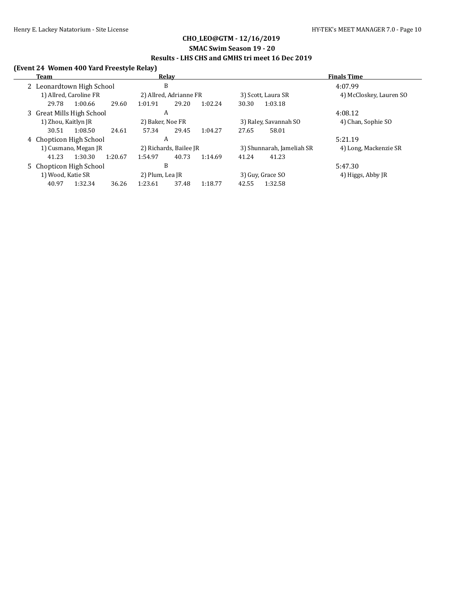#### **SMAC Swim Season 19 - 20 Results - LHS CHS and GMHS tri meet 16 Dec 2019**

### **(Event 24 Women 400 Yard Freestyle Relay)**

| Team                      | Relay                                  | <b>Finals Time</b>                                 |  |  |
|---------------------------|----------------------------------------|----------------------------------------------------|--|--|
| 2 Leonardtown High School | B                                      | 4:07.99                                            |  |  |
| 1) Allred, Caroline FR    | 2) Allred, Adrianne FR                 | 4) McCloskey, Lauren SO<br>3) Scott, Laura SR      |  |  |
| 1:00.66<br>29.78          | 29.60<br>29.20<br>1:02.24<br>1:01.91   | 1:03.18<br>30.30                                   |  |  |
| 3 Great Mills High School | A                                      | 4:08.12                                            |  |  |
| 1) Zhou, Kaitlyn JR       | 2) Baker, Noe FR                       | 3) Raley, Savannah SO<br>4) Chan, Sophie SO        |  |  |
| 1:08.50<br>30.51          | 29.45<br>24.61<br>57.34<br>1:04.27     | 58.01<br>27.65                                     |  |  |
| 4 Chopticon High School   | A                                      | 5:21.19                                            |  |  |
| 1) Cusmano, Megan JR      | 2) Richards, Bailee JR                 | 3) Shunnarah, Jameliah SR<br>4) Long, Mackenzie SR |  |  |
| 1:30.30<br>41.23          | 40.73<br>1:20.67<br>1:54.97<br>1:14.69 | 41.23<br>41.24                                     |  |  |
| 5 Chopticon High School   | B                                      | 5:47.30                                            |  |  |
| 1) Wood, Katie SR         | 2) Plum, Lea JR                        | 3) Guy, Grace SO<br>4) Higgs, Abby JR              |  |  |
| 40.97<br>1:32.34          | 36.26<br>37.48<br>1:23.61<br>1:18.77   | 1:32.58<br>42.55                                   |  |  |